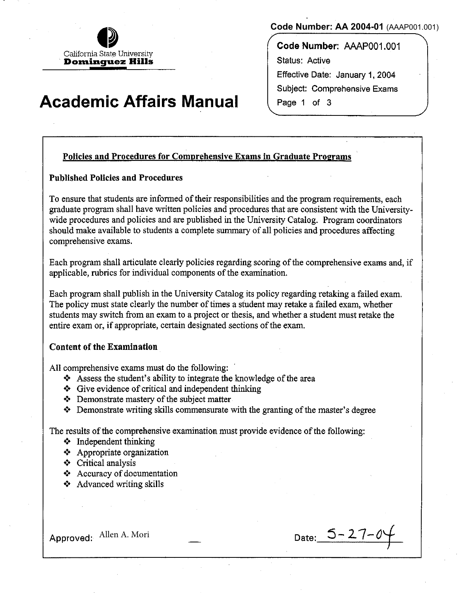California State University **Dondnguez Hills** 

# **Academic Affairs Manual**

**Code Number: AA 2004-01** (AAAP001.001)

**Code Number:** AAAP001.001 Status: Active Effective Date: January 1, 2004 Subject: Comprehensive Exams Page 1 of 3

## Policies and Procedures for Comprehensive Exams in Graduate Programs

## Published Policies and Procedures

To ensure that students are informed of their responsibilities and the program requirements, each graduate program shall have written policies and procedures that are consistent with the Universitywide procedures and policies and are published in the University Catalog. Program coordinators should make available to students a complete summary of all policies and procedures affecting comprehensive exams.

Each program shall articulate clearly policies regarding scoring of the comprehensive exams and, if applicable, rubrics for individual components of the examination.

Each program shall publish in the University Catalog its policy regarding retaking a failed exam. The policy must state clearly the number of times a student may retake a failed exam, whether students may switch from an exam to a project or thesis, and whether a student must retake the entire exam or, if appropriate, certain designated sections of the exam.

## Content of the Examination

All comprehensive exams must do the following:

- $\triangle$  Assess the student's ability to integrate the knowledge of the area
- $\triangle$  Give evidence of critical and independent thinking
- $\triangle$  Demonstrate mastery of the subject matter
- $\triangle$  Demonstrate writing skills commensurate with the granting of the master's degree

The results of the comprehensive examination must provide evidence of the following:

- $\triangleleft$  Independent thinking
- $\triangle$  Appropriate organization
- •!• Critical analysis
- $\triangleleft$  Accuracy of documentation
- $\triangleleft$  Advanced writing skills

Approved Allen A. Mori Date: 5-27-0j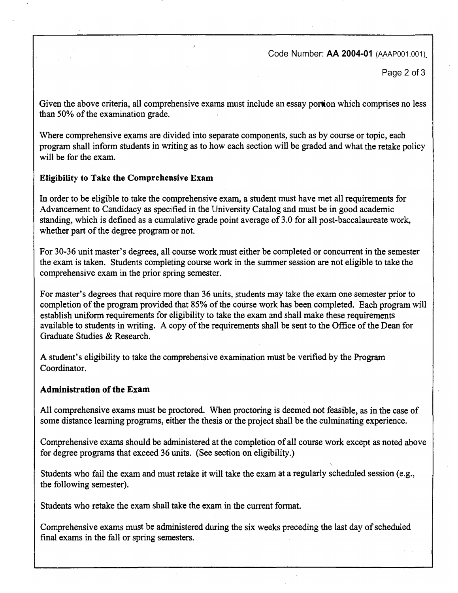Code Number: **AA 2004-01** (AAAP001.001)

Page 2 of 3

**Given the above criteria, all comprehensive exams must include an essay portion which comprises no less than 50% of the examination grade.** 

**Where comprehensive exams are divided into separate components, such as by course or topic, each program shall inform students in writing as to how each section will be graded and what the retake policy will be for the exam.** 

#### **Eligibility to Take the Comprehensive Exam**

**In order to be eligible to take the comprehensive exam, a student must have met all requirements for Advancement to Candidacy as specified in the University Catalog and must be in good academic standing, which is defined as a cumulative grade point average of 3.0 for all post-baccalaureate work, whether part of the degree program or not.** 

**For 30-36 unit master's degrees, all course work must either be completed or concurrent in the semester the exam is taken. Students completing course work in the summer session are not eligible to take the comprehensive exam in the prior spring semester.** 

**For master's degrees that require more than 36 units, students may take the exam one semester prior to completion of the program provided that 85% of the course work has been completed. Each program will establish uniform requirements for eligibility to take the exam and shall make these requirements available to students in writing. A copy of the requirements shall be sent to the Office of the Dean for Graduate Studies & Research.** 

**A student's eligibility to take the comprehensive examination must be verified by the Program Coordinator.** 

## **Administration of the Exam**

**All comprehensive exams must be proctored. When proctoring is deemed not feasible, as in the case of some distance learning programs, either the thesis or the project shall be the culminating experience.** 

**Comprehensive exams should be administered at the completion of all course work except as noted above for degree programs that exceed 36 units. (See section on eligibility.)** 

Students who fail the exam and must retake it will take the exam at a regularly scheduled session (e.g., **the following semester).** 

**Students who retake the exam shall take the exam in the current fonnat.** 

**Comprehensive exams must be administered during the six weeks preceding the last day of scheduled final exams in the fall or spring semesters.**